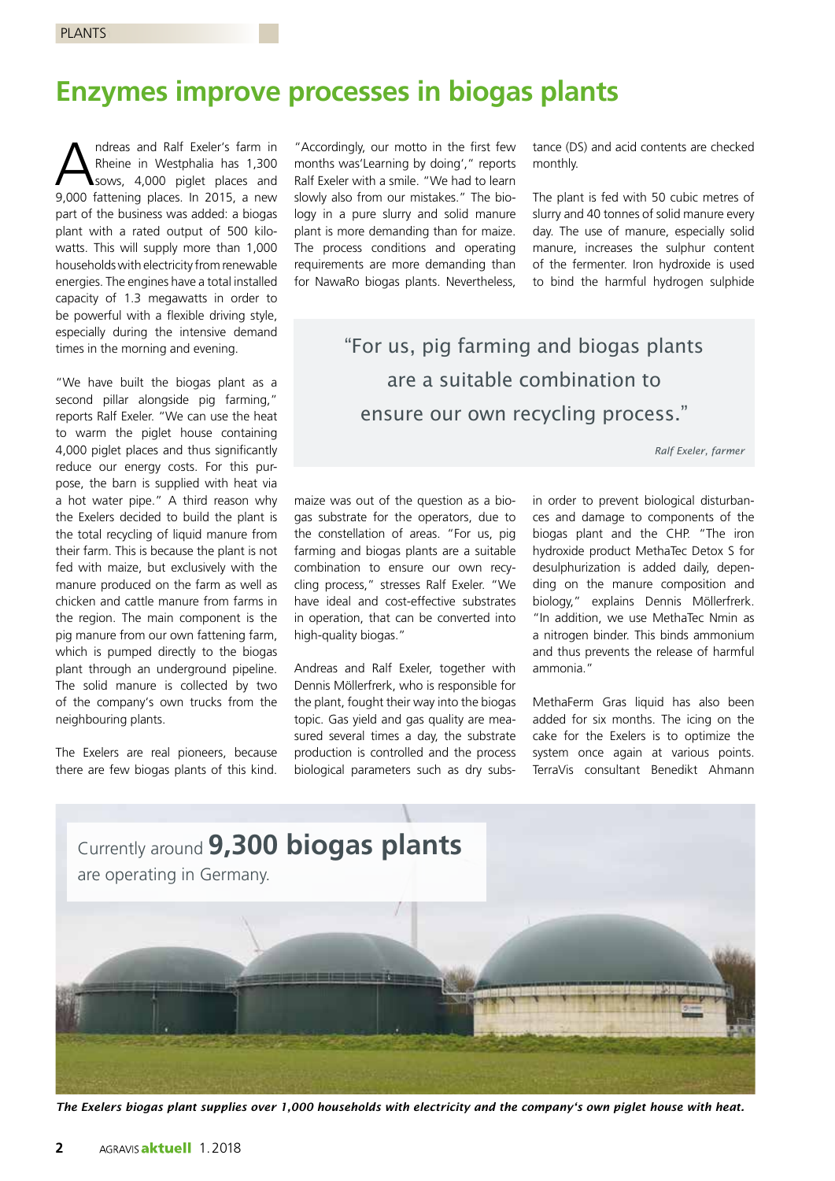# **Enzymes improve processes in biogas plants**

ndreas and Ralf Exeler's farm in Rheine in Westphalia has 1,300 sows, 4,000 piglet places and 9,000 fattening places. In 2015, a new part of the business was added: a biogas plant with a rated output of 500 kilowatts. This will supply more than 1,000 households with electricity from renewable energies. The engines have a total installed capacity of 1.3 megawatts in order to be powerful with a flexible driving style, especially during the intensive demand times in the morning and evening.

"We have built the biogas plant as a second pillar alongside pig farming," reports Ralf Exeler. "We can use the heat to warm the piglet house containing 4,000 piglet places and thus significantly reduce our energy costs. For this purpose, the barn is supplied with heat via a hot water pipe." A third reason why the Exelers decided to build the plant is the total recycling of liquid manure from their farm. This is because the plant is not fed with maize, but exclusively with the manure produced on the farm as well as chicken and cattle manure from farms in the region. The main component is the pig manure from our own fattening farm, which is pumped directly to the biogas plant through an underground pipeline. The solid manure is collected by two of the company's own trucks from the neighbouring plants.

The Exelers are real pioneers, because there are few biogas plants of this kind.

"Accordingly, our motto in the first few months was'Learning by doing'," reports Ralf Exeler with a smile. "We had to learn slowly also from our mistakes." The biology in a pure slurry and solid manure plant is more demanding than for maize. The process conditions and operating requirements are more demanding than for NawaRo biogas plants. Nevertheless,

tance (DS) and acid contents are checked monthly.

The plant is fed with 50 cubic metres of slurry and 40 tonnes of solid manure every day. The use of manure, especially solid manure, increases the sulphur content of the fermenter. Iron hydroxide is used to bind the harmful hydrogen sulphide

"For us, pig farming and biogas plants are a suitable combination to ensure our own recycling process."

*Ralf Exeler, farmer*

maize was out of the question as a biogas substrate for the operators, due to the constellation of areas. "For us, pig farming and biogas plants are a suitable combination to ensure our own recycling process," stresses Ralf Exeler. "We have ideal and cost-effective substrates in operation, that can be converted into high-quality biogas."

Andreas and Ralf Exeler, together with Dennis Möllerfrerk, who is responsible for the plant, fought their way into the biogas topic. Gas yield and gas quality are measured several times a day, the substrate production is controlled and the process biological parameters such as dry subs-

in order to prevent biological disturbances and damage to components of the biogas plant and the CHP. "The iron hydroxide product MethaTec Detox S for desulphurization is added daily, depending on the manure composition and biology," explains Dennis Möllerfrerk. "In addition, we use MethaTec Nmin as a nitrogen binder. This binds ammonium and thus prevents the release of harmful ammonia."

MethaFerm Gras liquid has also been added for six months. The icing on the cake for the Exelers is to optimize the system once again at various points. TerraVis consultant Benedikt Ahmann



*The Exelers biogas plant supplies over 1,000 households with electricity and the company's own piglet house with heat.*